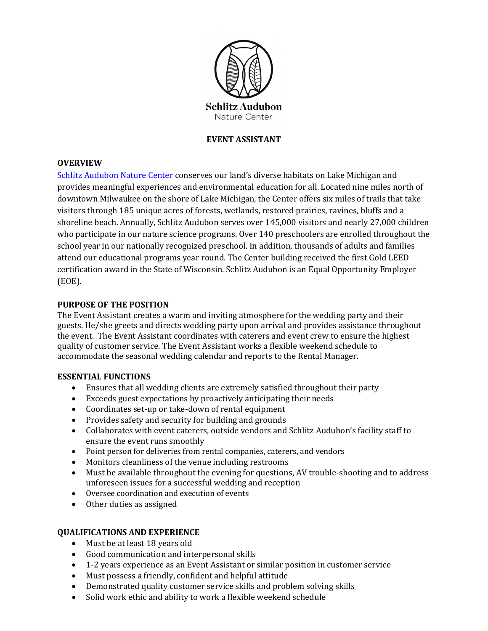

# **EVENT ASSISTANT**

#### **OVERVIEW**

[Schlitz Audubon Nature Center](http://www.schlitzaudubon.org/) conserves our land's diverse habitats on Lake Michigan and provides meaningful experiences and environmental education for all. Located nine miles north of downtown Milwaukee on the shore of Lake Michigan, the Center offers six miles of trails that take visitors through 185 unique acres of forests, wetlands, restored prairies, ravines, bluffs and a shoreline beach. Annually, Schlitz Audubon serves over 145,000 visitors and nearly 27,000 children who participate in our nature science programs. Over 140 preschoolers are enrolled throughout the school year in our nationally recognized preschool. In addition, thousands of adults and families attend our educational programs year round. The Center building received the first Gold LEED certification award in the State of Wisconsin. Schlitz Audubon is an Equal Opportunity Employer (EOE).

#### **PURPOSE OF THE POSITION**

The Event Assistant creates a warm and inviting atmosphere for the wedding party and their guests. He/she greets and directs wedding party upon arrival and provides assistance throughout the event. The Event Assistant coordinates with caterers and event crew to ensure the highest quality of customer service. The Event Assistant works a flexible weekend schedule to accommodate the seasonal wedding calendar and reports to the Rental Manager.

## **ESSENTIAL FUNCTIONS**

- Ensures that all wedding clients are extremely satisfied throughout their party
- Exceeds guest expectations by proactively anticipating their needs
- Coordinates set-up or take-down of rental equipment
- Provides safety and security for building and grounds
- Collaborates with event caterers, outside vendors and Schlitz Audubon's facility staff to ensure the event runs smoothly
- Point person for deliveries from rental companies, caterers, and vendors
- Monitors cleanliness of the venue including restrooms
- Must be available throughout the evening for questions, AV trouble-shooting and to address unforeseen issues for a successful wedding and reception
- Oversee coordination and execution of events
- Other duties as assigned

## **QUALIFICATIONS AND EXPERIENCE**

- Must be at least 18 years old
- Good communication and interpersonal skills
- 1-2 years experience as an Event Assistant or similar position in customer service
- Must possess a friendly, confident and helpful attitude
- Demonstrated quality customer service skills and problem solving skills
- Solid work ethic and ability to work a flexible weekend schedule